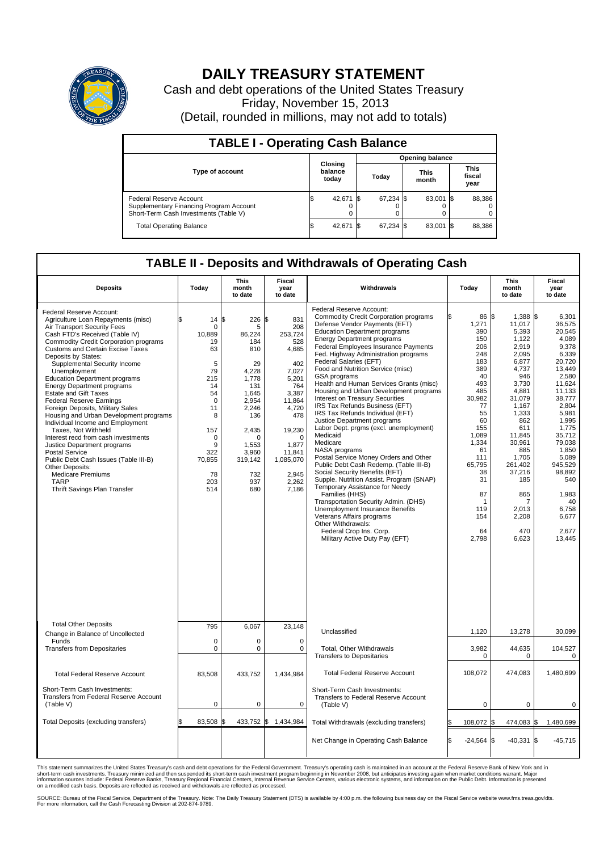

## **DAILY TREASURY STATEMENT**

Cash and debt operations of the United States Treasury Friday, November 15, 2013 (Detail, rounded in millions, may not add to totals)

| <b>TABLE I - Operating Cash Balance</b>                                                                            |                        |                             |  |           |  |                      |  |                               |  |  |  |  |
|--------------------------------------------------------------------------------------------------------------------|------------------------|-----------------------------|--|-----------|--|----------------------|--|-------------------------------|--|--|--|--|
|                                                                                                                    | <b>Opening balance</b> |                             |  |           |  |                      |  |                               |  |  |  |  |
| <b>Type of account</b>                                                                                             |                        | Closing<br>balance<br>today |  | Todav     |  | <b>This</b><br>month |  | <b>This</b><br>fiscal<br>year |  |  |  |  |
| <b>Federal Reserve Account</b><br>Supplementary Financing Program Account<br>Short-Term Cash Investments (Table V) |                        | 42,671 \$                   |  | 67,234 \$ |  | 83,001 \$            |  | 88,386                        |  |  |  |  |
| <b>Total Operating Balance</b>                                                                                     |                        | 42,671 \$                   |  | 67,234 \$ |  | 83,001 \$            |  | 88,386                        |  |  |  |  |

## **TABLE II - Deposits and Withdrawals of Operating Cash**

| <b>Deposits</b>                                                                                                                                                                                                                                                                                                                                                                                                                                                                                                                                                                                                                                                                                                                                                                                                                  | Today                                                                                                                                                                  | This<br>month<br>to date                                                                                                                                                            | Fiscal<br>year<br>to date                                                                                                                                                                 | Withdrawals                                                                                                                                                                                                                                                                                                                                                                                                                                                                                                                                                                                                                                                                                                                                                                                                                                                                                                                                                                                                                                                                                  | Today                                                                                                                                                                                                         | <b>This</b><br>month<br>to date                                                                                                                                                                                                                             | Fiscal<br>year<br>to date                                                                                                                                                                                                                                                 |
|----------------------------------------------------------------------------------------------------------------------------------------------------------------------------------------------------------------------------------------------------------------------------------------------------------------------------------------------------------------------------------------------------------------------------------------------------------------------------------------------------------------------------------------------------------------------------------------------------------------------------------------------------------------------------------------------------------------------------------------------------------------------------------------------------------------------------------|------------------------------------------------------------------------------------------------------------------------------------------------------------------------|-------------------------------------------------------------------------------------------------------------------------------------------------------------------------------------|-------------------------------------------------------------------------------------------------------------------------------------------------------------------------------------------|----------------------------------------------------------------------------------------------------------------------------------------------------------------------------------------------------------------------------------------------------------------------------------------------------------------------------------------------------------------------------------------------------------------------------------------------------------------------------------------------------------------------------------------------------------------------------------------------------------------------------------------------------------------------------------------------------------------------------------------------------------------------------------------------------------------------------------------------------------------------------------------------------------------------------------------------------------------------------------------------------------------------------------------------------------------------------------------------|---------------------------------------------------------------------------------------------------------------------------------------------------------------------------------------------------------------|-------------------------------------------------------------------------------------------------------------------------------------------------------------------------------------------------------------------------------------------------------------|---------------------------------------------------------------------------------------------------------------------------------------------------------------------------------------------------------------------------------------------------------------------------|
| Federal Reserve Account:<br>Agriculture Loan Repayments (misc)<br>Air Transport Security Fees<br>Cash FTD's Received (Table IV)<br><b>Commodity Credit Corporation programs</b><br><b>Customs and Certain Excise Taxes</b><br>Deposits by States:<br>Supplemental Security Income<br>Unemployment<br><b>Education Department programs</b><br><b>Energy Department programs</b><br><b>Estate and Gift Taxes</b><br><b>Federal Reserve Earnings</b><br>Foreign Deposits, Military Sales<br>Housing and Urban Development programs<br>Individual Income and Employment<br>Taxes, Not Withheld<br>Interest recd from cash investments<br>Justice Department programs<br><b>Postal Service</b><br>Public Debt Cash Issues (Table III-B)<br>Other Deposits:<br><b>Medicare Premiums</b><br><b>TARP</b><br>Thrift Savings Plan Transfer | 14<br>\$.<br>$\mathbf 0$<br>10,889<br>19<br>63<br>5<br>79<br>215<br>14<br>54<br>$\mathbf 0$<br>11<br>8<br>157<br>$\mathbf 0$<br>9<br>322<br>70,855<br>78<br>203<br>514 | \$<br>$226$ \$<br>5<br>86,224<br>184<br>810<br>29<br>4,228<br>1,778<br>131<br>1.645<br>2,954<br>2,246<br>136<br>2,435<br>$\Omega$<br>1,553<br>3,960<br>319,142<br>732<br>937<br>680 | 831<br>208<br>253,724<br>528<br>4,685<br>402<br>7,027<br>5,201<br>764<br>3,387<br>11,864<br>4,720<br>478<br>19,230<br>$\Omega$<br>1,877<br>11,841<br>1,085,070<br>2,945<br>2,262<br>7,186 | Federal Reserve Account:<br><b>Commodity Credit Corporation programs</b><br>Defense Vendor Payments (EFT)<br><b>Education Department programs</b><br><b>Energy Department programs</b><br><b>Federal Employees Insurance Payments</b><br>Fed. Highway Administration programs<br>Federal Salaries (EFT)<br>Food and Nutrition Service (misc)<br>GSA programs<br>Health and Human Services Grants (misc)<br>Housing and Urban Development programs<br>Interest on Treasury Securities<br>IRS Tax Refunds Business (EFT)<br>IRS Tax Refunds Individual (EFT)<br>Justice Department programs<br>Labor Dept. prgms (excl. unemployment)<br>Medicaid<br>Medicare<br>NASA programs<br>Postal Service Money Orders and Other<br>Public Debt Cash Redemp. (Table III-B)<br>Social Security Benefits (EFT)<br>Supple. Nutrition Assist. Program (SNAP)<br>Temporary Assistance for Needy<br>Families (HHS)<br>Transportation Security Admin. (DHS)<br>Unemployment Insurance Benefits<br>Veterans Affairs programs<br>Other Withdrawals:<br>Federal Crop Ins. Corp.<br>Military Active Duty Pay (EFT) | 86 \$<br>1,271<br>390<br>150<br>206<br>248<br>183<br>389<br>40<br>493<br>485<br>30.982<br>77<br>55<br>60<br>155<br>1,089<br>1,334<br>61<br>111<br>65.795<br>38<br>31<br>87<br>-1<br>119<br>154<br>64<br>2,798 | $1,388$ \$<br>11,017<br>5,393<br>1,122<br>2.919<br>2,095<br>6,877<br>4,737<br>946<br>3,730<br>4,881<br>31.079<br>1,167<br>1,333<br>862<br>611<br>11,845<br>30,961<br>885<br>1,705<br>261.402<br>37,216<br>185<br>865<br>7<br>2,013<br>2,208<br>470<br>6,623 | 6.301<br>36,575<br>20.545<br>4,089<br>9.378<br>6,339<br>20,720<br>13,449<br>2,580<br>11,624<br>11,133<br>38.777<br>2,804<br>5,981<br>1,995<br>1,775<br>35,712<br>79.038<br>1.850<br>5,089<br>945.529<br>98,892<br>540<br>1,983<br>40<br>6,758<br>6,677<br>2,677<br>13,445 |
| <b>Total Other Deposits</b><br>Change in Balance of Uncollected                                                                                                                                                                                                                                                                                                                                                                                                                                                                                                                                                                                                                                                                                                                                                                  | 795                                                                                                                                                                    | 6,067                                                                                                                                                                               | 23,148                                                                                                                                                                                    | Unclassified                                                                                                                                                                                                                                                                                                                                                                                                                                                                                                                                                                                                                                                                                                                                                                                                                                                                                                                                                                                                                                                                                 | 1,120                                                                                                                                                                                                         | 13,278                                                                                                                                                                                                                                                      | 30,099                                                                                                                                                                                                                                                                    |
| Funds<br><b>Transfers from Depositaries</b>                                                                                                                                                                                                                                                                                                                                                                                                                                                                                                                                                                                                                                                                                                                                                                                      | $\mathbf 0$<br>$\mathbf 0$                                                                                                                                             | 0<br>0                                                                                                                                                                              | $\mathbf 0$<br>$\mathbf 0$                                                                                                                                                                | Total, Other Withdrawals<br><b>Transfers to Depositaries</b>                                                                                                                                                                                                                                                                                                                                                                                                                                                                                                                                                                                                                                                                                                                                                                                                                                                                                                                                                                                                                                 | 3,982<br>$\mathbf 0$                                                                                                                                                                                          | 44,635<br>$\mathbf 0$                                                                                                                                                                                                                                       | 104,527<br>0                                                                                                                                                                                                                                                              |
| <b>Total Federal Reserve Account</b>                                                                                                                                                                                                                                                                                                                                                                                                                                                                                                                                                                                                                                                                                                                                                                                             | 83,508                                                                                                                                                                 | 433,752                                                                                                                                                                             | 1,434,984                                                                                                                                                                                 | <b>Total Federal Reserve Account</b>                                                                                                                                                                                                                                                                                                                                                                                                                                                                                                                                                                                                                                                                                                                                                                                                                                                                                                                                                                                                                                                         | 108,072                                                                                                                                                                                                       | 474,083                                                                                                                                                                                                                                                     | 1,480,699                                                                                                                                                                                                                                                                 |
| Short-Term Cash Investments:<br>Transfers from Federal Reserve Account<br>(Table V)                                                                                                                                                                                                                                                                                                                                                                                                                                                                                                                                                                                                                                                                                                                                              | $\mathbf 0$                                                                                                                                                            | 0                                                                                                                                                                                   | $\mathbf 0$                                                                                                                                                                               | Short-Term Cash Investments:<br>Transfers to Federal Reserve Account<br>(Table V)                                                                                                                                                                                                                                                                                                                                                                                                                                                                                                                                                                                                                                                                                                                                                                                                                                                                                                                                                                                                            | 0                                                                                                                                                                                                             | $\mathbf 0$                                                                                                                                                                                                                                                 | 0                                                                                                                                                                                                                                                                         |
| Total Deposits (excluding transfers)                                                                                                                                                                                                                                                                                                                                                                                                                                                                                                                                                                                                                                                                                                                                                                                             | 83,508<br>\$                                                                                                                                                           | 1\$                                                                                                                                                                                 | 433,752 \$ 1,434,984                                                                                                                                                                      | Total Withdrawals (excluding transfers)                                                                                                                                                                                                                                                                                                                                                                                                                                                                                                                                                                                                                                                                                                                                                                                                                                                                                                                                                                                                                                                      | 108,072                                                                                                                                                                                                       | 474,083 \$<br>1\$                                                                                                                                                                                                                                           | 1,480,699                                                                                                                                                                                                                                                                 |
|                                                                                                                                                                                                                                                                                                                                                                                                                                                                                                                                                                                                                                                                                                                                                                                                                                  |                                                                                                                                                                        |                                                                                                                                                                                     |                                                                                                                                                                                           | Net Change in Operating Cash Balance                                                                                                                                                                                                                                                                                                                                                                                                                                                                                                                                                                                                                                                                                                                                                                                                                                                                                                                                                                                                                                                         | \$<br>$-24,564$ \$                                                                                                                                                                                            | $-40,331$ \$                                                                                                                                                                                                                                                | $-45,715$                                                                                                                                                                                                                                                                 |

This statement summarizes the United States Treasury's cash and debt operations for the Federal Government. Treasury's operating cash is maintained in an account at the Federal Reserve Bank of New York and in<br>informetion c

SOURCE: Bureau of the Fiscal Service, Department of the Treasury. Note: The Daily Treasury Statement (DTS) is available by 4:00 p.m. the following business day on the Fiscal Service website www.fms.treas.gov/dts.<br>For more